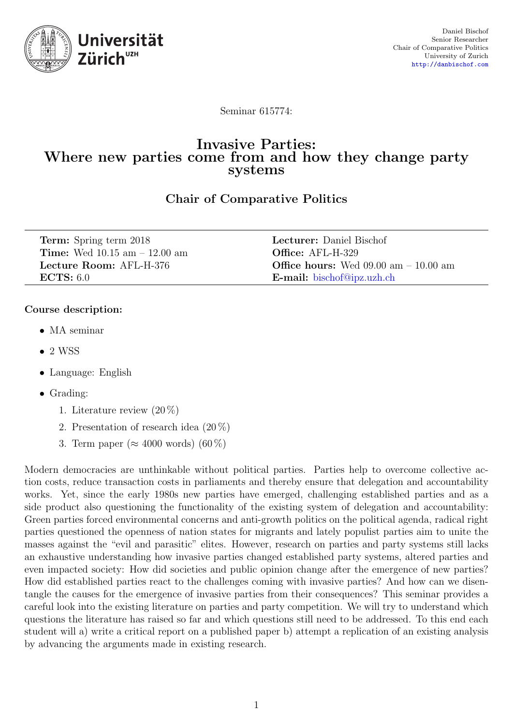

Seminar 615774:

### Invasive Parties: Where new parties come from and how they change party systems

Chair of Comparative Politics

| <b>Term:</b> Spring term 2018           | <b>Lecturer:</b> Daniel Bischof               |
|-----------------------------------------|-----------------------------------------------|
| <b>Time:</b> Wed $10.15$ am $-12.00$ am | <b>Office:</b> AFL-H-329                      |
| Lecture Room: AFL-H-376                 | <b>Office hours:</b> Wed 09.00 am $-10.00$ am |
| ECTS: 6.0                               | <b>E-mail:</b> bischof@ipz.uzh.ch             |

### Course description:

- MA seminar
- $\bullet$  2 WSS
- Language: English
- Grading:
	- 1. Literature review (20 %)
	- 2. Presentation of research idea (20 %)
	- 3. Term paper ( $\approx 4000$  words) (60 %)

Modern democracies are unthinkable without political parties. Parties help to overcome collective action costs, reduce transaction costs in parliaments and thereby ensure that delegation and accountability works. Yet, since the early 1980s new parties have emerged, challenging established parties and as a side product also questioning the functionality of the existing system of delegation and accountability: Green parties forced environmental concerns and anti-growth politics on the political agenda, radical right parties questioned the openness of nation states for migrants and lately populist parties aim to unite the masses against the "evil and parasitic" elites. However, research on parties and party systems still lacks an exhaustive understanding how invasive parties changed established party systems, altered parties and even impacted society: How did societies and public opinion change after the emergence of new parties? How did established parties react to the challenges coming with invasive parties? And how can we disentangle the causes for the emergence of invasive parties from their consequences? This seminar provides a careful look into the existing literature on parties and party competition. We will try to understand which questions the literature has raised so far and which questions still need to be addressed. To this end each student will a) write a critical report on a published paper b) attempt a replication of an existing analysis by advancing the arguments made in existing research.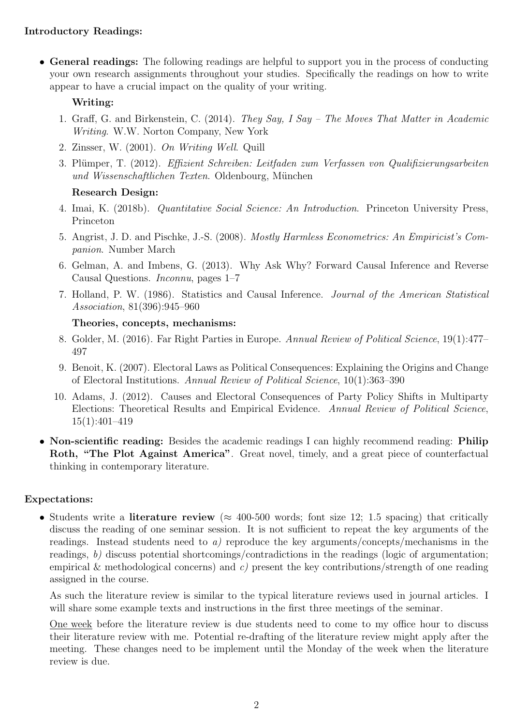### Introductory Readings:

• General readings: The following readings are helpful to support you in the process of conducting your own research assignments throughout your studies. Specifically the readings on how to write appear to have a crucial impact on the quality of your writing.

### Writing:

- 1. Graff, G. and Birkenstein, C. (2014). They Say, I Say The Moves That Matter in Academic Writing. W.W. Norton Company, New York
- 2. Zinsser, W. (2001). On Writing Well. Quill
- 3. Plümper, T. (2012). Effizient Schreiben: Leitfaden zum Verfassen von Qualifizierungsarbeiten und Wissenschaftlichen Texten. Oldenbourg, München

### Research Design:

- 4. Imai, K. (2018b). Quantitative Social Science: An Introduction. Princeton University Press, Princeton
- 5. Angrist, J. D. and Pischke, J.-S. (2008). Mostly Harmless Econometrics: An Empiricist's Companion. Number March
- 6. Gelman, A. and Imbens, G. (2013). Why Ask Why? Forward Causal Inference and Reverse Causal Questions. Inconnu, pages 1–7
- 7. Holland, P. W. (1986). Statistics and Causal Inference. Journal of the American Statistical Association, 81(396):945–960

### Theories, concepts, mechanisms:

- 8. Golder, M. (2016). Far Right Parties in Europe. Annual Review of Political Science, 19(1):477– 497
- 9. Benoit, K. (2007). Electoral Laws as Political Consequences: Explaining the Origins and Change of Electoral Institutions. Annual Review of Political Science, 10(1):363–390
- 10. Adams, J. (2012). Causes and Electoral Consequences of Party Policy Shifts in Multiparty Elections: Theoretical Results and Empirical Evidence. Annual Review of Political Science, 15(1):401–419
- Non-scientific reading: Besides the academic readings I can highly recommend reading: Philip Roth, "The Plot Against America". Great novel, timely, and a great piece of counterfactual thinking in contemporary literature.

### Expectations:

• Students write a literature review ( $\approx 400$ -500 words; font size 12; 1.5 spacing) that critically discuss the reading of one seminar session. It is not sufficient to repeat the key arguments of the readings. Instead students need to a) reproduce the key arguments/concepts/mechanisms in the readings, b) discuss potential shortcomings/contradictions in the readings (logic of argumentation; empirical  $\&$  methodological concerns) and c) present the key contributions/strength of one reading assigned in the course.

As such the literature review is similar to the typical literature reviews used in journal articles. I will share some example texts and instructions in the first three meetings of the seminar.

One week before the literature review is due students need to come to my office hour to discuss their literature review with me. Potential re-drafting of the literature review might apply after the meeting. These changes need to be implement until the Monday of the week when the literature review is due.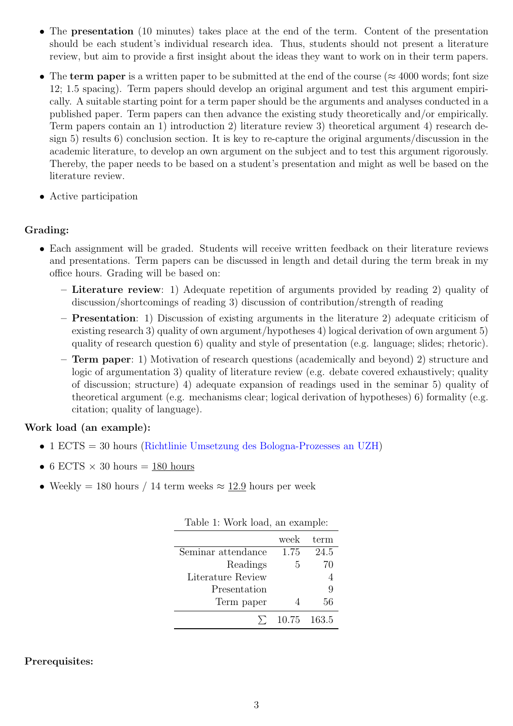- The **presentation** (10 minutes) takes place at the end of the term. Content of the presentation should be each student's individual research idea. Thus, students should not present a literature review, but aim to provide a first insight about the ideas they want to work on in their term papers.
- The term paper is a written paper to be submitted at the end of the course ( $\approx 4000$  words; font size 12; 1.5 spacing). Term papers should develop an original argument and test this argument empirically. A suitable starting point for a term paper should be the arguments and analyses conducted in a published paper. Term papers can then advance the existing study theoretically and/or empirically. Term papers contain an 1) introduction 2) literature review 3) theoretical argument 4) research design 5) results 6) conclusion section. It is key to re-capture the original arguments/discussion in the academic literature, to develop an own argument on the subject and to test this argument rigorously. Thereby, the paper needs to be based on a student's presentation and might as well be based on the literature review.
- Active participation

### Grading:

- Each assignment will be graded. Students will receive written feedback on their literature reviews and presentations. Term papers can be discussed in length and detail during the term break in my office hours. Grading will be based on:
	- Literature review: 1) Adequate repetition of arguments provided by reading 2) quality of discussion/shortcomings of reading 3) discussion of contribution/strength of reading
	- Presentation: 1) Discussion of existing arguments in the literature 2) adequate criticism of existing research 3) quality of own argument/hypotheses 4) logical derivation of own argument 5) quality of research question 6) quality and style of presentation (e.g. language; slides; rhetoric).
	- Term paper: 1) Motivation of research questions (academically and beyond) 2) structure and logic of argumentation 3) quality of literature review (e.g. debate covered exhaustively; quality of discussion; structure) 4) adequate expansion of readings used in the seminar 5) quality of theoretical argument (e.g. mechanisms clear; logical derivation of hypotheses) 6) formality (e.g. citation; quality of language).

### Work load (an example):

- 1 ECTS = 30 hours [\(Richtlinie Umsetzung des Bologna-Prozesses an UZH\)](http://www.sae.uzh.ch/rechtsgrundlagen/uzhreglemente/BolognaRichtlinie_UZH_2004.pdf)
- 6 ECTS  $\times$  30 hours = 180 hours
- Weekly = 180 hours / 14 term weeks  $\approx$  12.9 hours per week

|                    | week | term        |
|--------------------|------|-------------|
| Seminar attendance | 1.75 | 24.5        |
| Readings           | 5    | 70          |
| Literature Review  |      |             |
| Presentation       |      | 9           |
| Term paper         |      | 56          |
|                    |      | 10.75 163.5 |

|  |  | Table 1: Work load, an example: |
|--|--|---------------------------------|
|  |  |                                 |

### Prerequisites: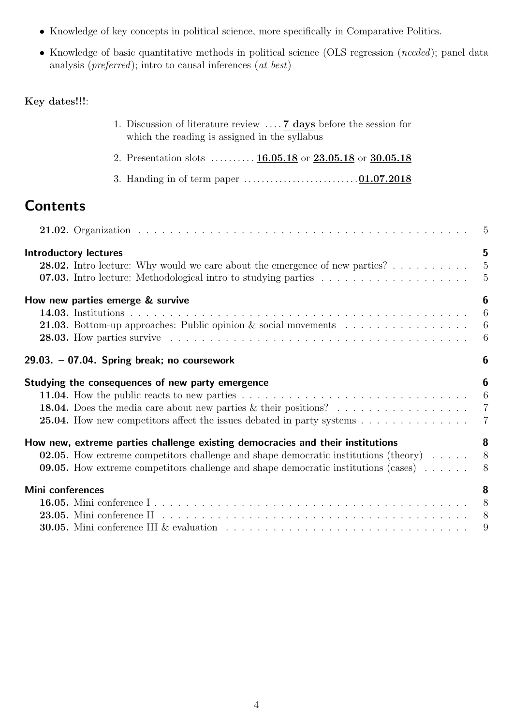- Knowledge of key concepts in political science, more specifically in Comparative Politics.
- Knowledge of basic quantitative methods in political science (OLS regression (needed); panel data analysis (preferred); intro to causal inferences (at best)

### Key dates!!!:

|                  | 1. Discussion of literature review $\dots$ 7 days before the session for<br>which the reading is assigned in the syllabus                                                                                                                                                                       |                                                                      |
|------------------|-------------------------------------------------------------------------------------------------------------------------------------------------------------------------------------------------------------------------------------------------------------------------------------------------|----------------------------------------------------------------------|
|                  | 2. Presentation slots $16.05.18$ or $23.05.18$ or $30.05.18$                                                                                                                                                                                                                                    |                                                                      |
|                  |                                                                                                                                                                                                                                                                                                 |                                                                      |
| <b>Contents</b>  |                                                                                                                                                                                                                                                                                                 |                                                                      |
|                  |                                                                                                                                                                                                                                                                                                 | $\overline{5}$                                                       |
|                  | <b>Introductory lectures</b><br><b>28.02.</b> Intro lecture: Why would we care about the emergence of new parties? $\ldots$                                                                                                                                                                     | 5<br>$\overline{5}$<br>$\overline{5}$                                |
|                  | How new parties emerge & survive<br><b>21.03.</b> Bottom-up approaches: Public opinion $\&$ social movements                                                                                                                                                                                    | $\boldsymbol{6}$<br>$\overline{6}$<br>$\boldsymbol{6}$<br>$\sqrt{6}$ |
|                  | 29.03. - 07.04. Spring break; no coursework                                                                                                                                                                                                                                                     | 6                                                                    |
|                  | Studying the consequences of new party emergence<br>$\overline{6}$<br><b>18.04.</b> Does the media care about new parties $\&$ their positions?<br>25.04. How new competitors affect the issues debated in party systems                                                                        | 6<br>$\overline{7}$<br>$\overline{7}$                                |
|                  | How new, extreme parties challenge existing democracies and their institutions<br><b>02.05.</b> How extreme competitors challenge and shape democratic institutions (theory) $\dots$<br><b>09.05.</b> How extreme competitors challenge and shape democratic institutions (cases) $\dots \dots$ | 8<br>8<br>8                                                          |
| Mini conferences | 23.05. Mini conference $II$ $\ldots$ $\ldots$ $\ldots$ $\ldots$ $\ldots$ $\ldots$ $\ldots$ $\ldots$ $\ldots$ $\ldots$ $\ldots$ $\ldots$ $\ldots$<br><b>30.05.</b> Mini conference III & evaluation $\ldots \ldots \ldots \ldots \ldots \ldots \ldots \ldots \ldots \ldots \ldots$               | 8<br>$\mathcal{S}_{\mathcal{S}}$<br>8<br>9                           |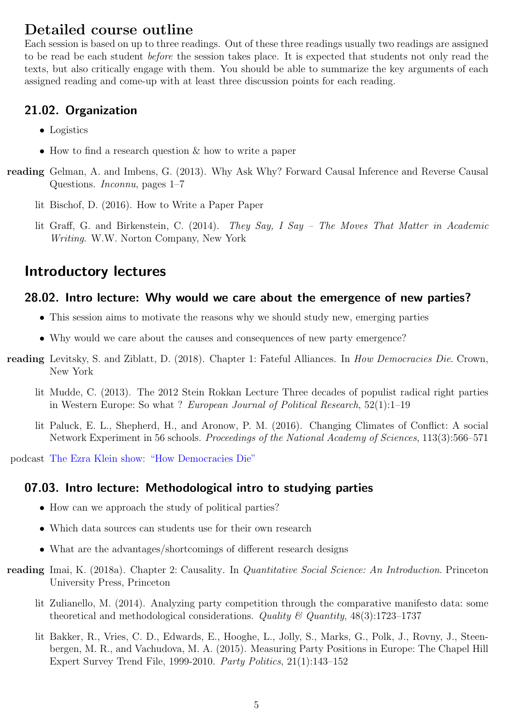## Detailed course outline

Each session is based on up to three readings. Out of these three readings usually two readings are assigned to be read be each student before the session takes place. It is expected that students not only read the texts, but also critically engage with them. You should be able to summarize the key arguments of each assigned reading and come-up with at least three discussion points for each reading.

### <span id="page-4-0"></span>21.02. Organization

- Logistics
- How to find a research question & how to write a paper
- reading Gelman, A. and Imbens, G. (2013). Why Ask Why? Forward Causal Inference and Reverse Causal Questions. Inconnu, pages 1–7
	- lit Bischof, D. (2016). How to Write a Paper Paper
	- lit Graff, G. and Birkenstein, C. (2014). They Say, I Say The Moves That Matter in Academic Writing. W.W. Norton Company, New York

## <span id="page-4-1"></span>Introductory lectures

### <span id="page-4-2"></span>28.02. Intro lecture: Why would we care about the emergence of new parties?

- This session aims to motivate the reasons why we should study new, emerging parties
- Why would we care about the causes and consequences of new party emergence?
- reading Levitsky, S. and Ziblatt, D. (2018). Chapter 1: Fateful Alliances. In How Democracies Die. Crown, New York
	- lit Mudde, C. (2013). The 2012 Stein Rokkan Lecture Three decades of populist radical right parties in Western Europe: So what ? European Journal of Political Research, 52(1):1–19
	- lit Paluck, E. L., Shepherd, H., and Aronow, P. M. (2016). Changing Climates of Conflict: A social Network Experiment in 56 schools. Proceedings of the National Academy of Sciences, 113(3):566–571

podcast [The Ezra Klein show: "How Democracies Die"](http://pca.st/8Msw)

### <span id="page-4-3"></span>07.03. Intro lecture: Methodological intro to studying parties

- How can we approach the study of political parties?
- Which data sources can students use for their own research
- What are the advantages/shortcomings of different research designs
- reading Imai, K. (2018a). Chapter 2: Causality. In *Quantitative Social Science: An Introduction*. Princeton University Press, Princeton
	- lit Zulianello, M. (2014). Analyzing party competition through the comparative manifesto data: some theoretical and methodological considerations. Quality  $\mathcal{C}_i$  Quantity, 48(3):1723–1737
	- lit Bakker, R., Vries, C. D., Edwards, E., Hooghe, L., Jolly, S., Marks, G., Polk, J., Rovny, J., Steenbergen, M. R., and Vachudova, M. A. (2015). Measuring Party Positions in Europe: The Chapel Hill Expert Survey Trend File, 1999-2010. Party Politics, 21(1):143–152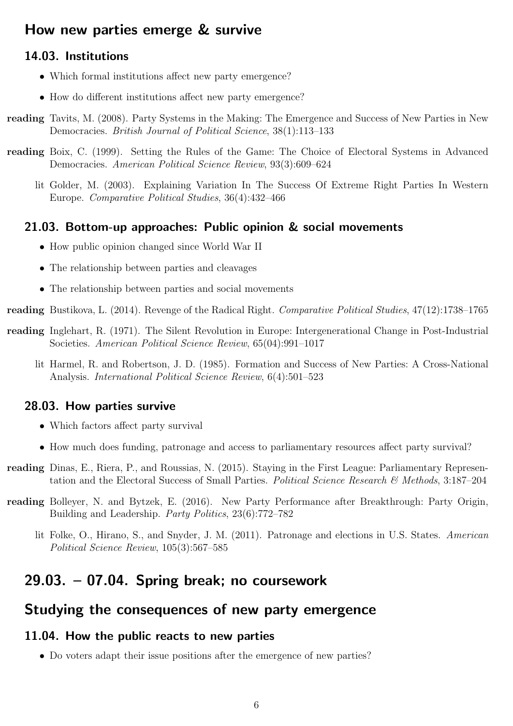## <span id="page-5-0"></span>How new parties emerge & survive

### <span id="page-5-1"></span>14.03. Institutions

- Which formal institutions affect new party emergence?
- How do different institutions affect new party emergence?
- reading Tavits, M. (2008). Party Systems in the Making: The Emergence and Success of New Parties in New Democracies. British Journal of Political Science, 38(1):113–133
- reading Boix, C. (1999). Setting the Rules of the Game: The Choice of Electoral Systems in Advanced Democracies. American Political Science Review, 93(3):609–624
	- lit Golder, M. (2003). Explaining Variation In The Success Of Extreme Right Parties In Western Europe. Comparative Political Studies, 36(4):432–466

### <span id="page-5-2"></span>21.03. Bottom-up approaches: Public opinion & social movements

- How public opinion changed since World War II
- The relationship between parties and cleavages
- The relationship between parties and social movements

reading Bustikova, L. (2014). Revenge of the Radical Right. Comparative Political Studies, 47(12):1738–1765

- reading Inglehart, R. (1971). The Silent Revolution in Europe: Intergenerational Change in Post-Industrial Societies. American Political Science Review, 65(04):991–1017
	- lit Harmel, R. and Robertson, J. D. (1985). Formation and Success of New Parties: A Cross-National Analysis. International Political Science Review, 6(4):501–523

### <span id="page-5-3"></span>28.03. How parties survive

- Which factors affect party survival
- How much does funding, patronage and access to parliamentary resources affect party survival?
- reading Dinas, E., Riera, P., and Roussias, N. (2015). Staying in the First League: Parliamentary Representation and the Electoral Success of Small Parties. Political Science Research & Methods, 3:187-204
- reading Bolleyer, N. and Bytzek, E. (2016). New Party Performance after Breakthrough: Party Origin, Building and Leadership. Party Politics, 23(6):772–782
	- lit Folke, O., Hirano, S., and Snyder, J. M. (2011). Patronage and elections in U.S. States. American Political Science Review, 105(3):567–585

## <span id="page-5-4"></span>29.03. – 07.04. Spring break; no coursework

## <span id="page-5-5"></span>Studying the consequences of new party emergence

### <span id="page-5-6"></span>11.04. How the public reacts to new parties

• Do voters adapt their issue positions after the emergence of new parties?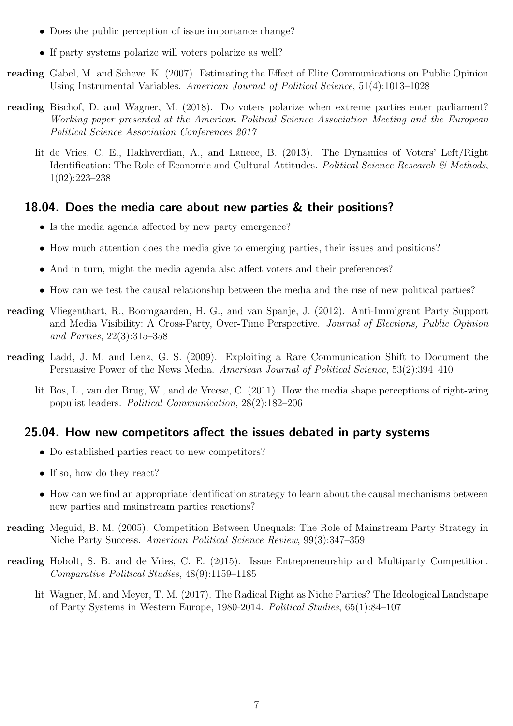- Does the public perception of issue importance change?
- If party systems polarize will voters polarize as well?
- reading Gabel, M. and Scheve, K. (2007). Estimating the Effect of Elite Communications on Public Opinion Using Instrumental Variables. American Journal of Political Science, 51(4):1013–1028
- reading Bischof, D. and Wagner, M. (2018). Do voters polarize when extreme parties enter parliament? Working paper presented at the American Political Science Association Meeting and the European Political Science Association Conferences 2017
	- lit de Vries, C. E., Hakhverdian, A., and Lancee, B. (2013). The Dynamics of Voters' Left/Right Identification: The Role of Economic and Cultural Attitudes. Political Science Research & Methods, 1(02):223–238

### <span id="page-6-0"></span>18.04. Does the media care about new parties & their positions?

- Is the media agenda affected by new party emergence?
- How much attention does the media give to emerging parties, their issues and positions?
- And in turn, might the media agenda also affect voters and their preferences?
- How can we test the causal relationship between the media and the rise of new political parties?
- reading Vliegenthart, R., Boomgaarden, H. G., and van Spanje, J. (2012). Anti-Immigrant Party Support and Media Visibility: A Cross-Party, Over-Time Perspective. Journal of Elections, Public Opinion and Parties, 22(3):315–358
- reading Ladd, J. M. and Lenz, G. S. (2009). Exploiting a Rare Communication Shift to Document the Persuasive Power of the News Media. American Journal of Political Science, 53(2):394–410
	- lit Bos, L., van der Brug, W., and de Vreese, C. (2011). How the media shape perceptions of right-wing populist leaders. Political Communication, 28(2):182–206

### <span id="page-6-1"></span>25.04. How new competitors affect the issues debated in party systems

- Do established parties react to new competitors?
- If so, how do they react?
- How can we find an appropriate identification strategy to learn about the causal mechanisms between new parties and mainstream parties reactions?
- reading Meguid, B. M. (2005). Competition Between Unequals: The Role of Mainstream Party Strategy in Niche Party Success. American Political Science Review, 99(3):347–359
- reading Hobolt, S. B. and de Vries, C. E. (2015). Issue Entrepreneurship and Multiparty Competition. Comparative Political Studies, 48(9):1159–1185
	- lit Wagner, M. and Meyer, T. M. (2017). The Radical Right as Niche Parties? The Ideological Landscape of Party Systems in Western Europe, 1980-2014. Political Studies, 65(1):84–107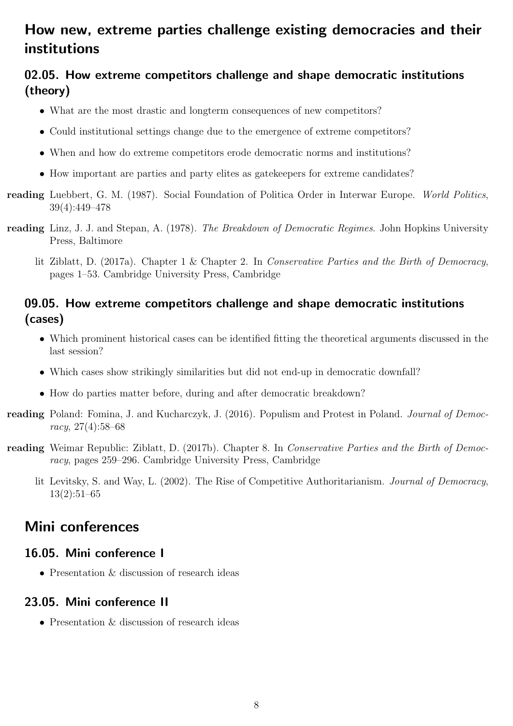# <span id="page-7-0"></span>How new, extreme parties challenge existing democracies and their institutions

## <span id="page-7-1"></span>02.05. How extreme competitors challenge and shape democratic institutions (theory)

- What are the most drastic and longterm consequences of new competitors?
- Could institutional settings change due to the emergence of extreme competitors?
- When and how do extreme competitors erode democratic norms and institutions?
- How important are parties and party elites as gatekeepers for extreme candidates?
- reading Luebbert, G. M. (1987). Social Foundation of Politica Order in Interwar Europe. World Politics, 39(4):449–478
- reading Linz, J. J. and Stepan, A. (1978). The Breakdown of Democratic Regimes. John Hopkins University Press, Baltimore
	- lit Ziblatt, D. (2017a). Chapter 1 & Chapter 2. In Conservative Parties and the Birth of Democracy, pages 1–53. Cambridge University Press, Cambridge

### <span id="page-7-2"></span>09.05. How extreme competitors challenge and shape democratic institutions (cases)

- Which prominent historical cases can be identified fitting the theoretical arguments discussed in the last session?
- Which cases show strikingly similarities but did not end-up in democratic downfall?
- How do parties matter before, during and after democratic breakdown?
- reading Poland: Fomina, J. and Kucharczyk, J. (2016). Populism and Protest in Poland. Journal of Democracy, 27(4):58–68
- reading Weimar Republic: Ziblatt, D. (2017b). Chapter 8. In Conservative Parties and the Birth of Democracy, pages 259–296. Cambridge University Press, Cambridge
	- lit Levitsky, S. and Way, L. (2002). The Rise of Competitive Authoritarianism. Journal of Democracy, 13(2):51–65

## <span id="page-7-3"></span>Mini conferences

### <span id="page-7-4"></span>16.05. Mini conference I

• Presentation & discussion of research ideas

### <span id="page-7-5"></span>23.05. Mini conference II

• Presentation & discussion of research ideas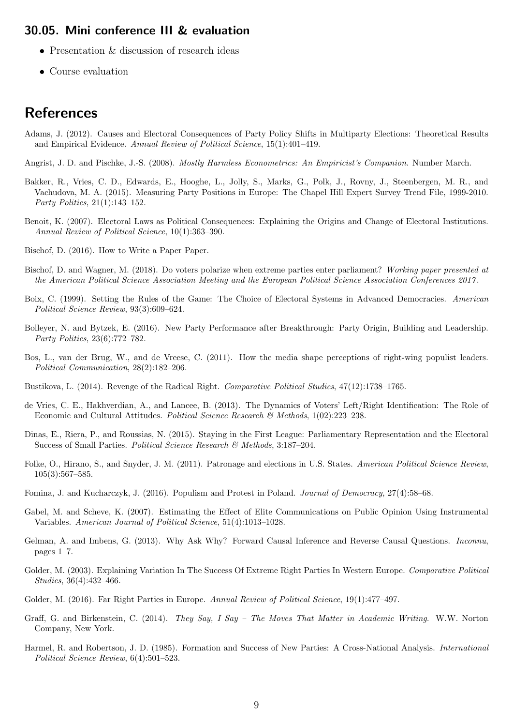#### <span id="page-8-0"></span>30.05. Mini conference III & evaluation

- Presentation & discussion of research ideas
- Course evaluation

## References

Adams, J. (2012). Causes and Electoral Consequences of Party Policy Shifts in Multiparty Elections: Theoretical Results and Empirical Evidence. Annual Review of Political Science, 15(1):401–419.

Angrist, J. D. and Pischke, J.-S. (2008). Mostly Harmless Econometrics: An Empiricist's Companion. Number March.

- Bakker, R., Vries, C. D., Edwards, E., Hooghe, L., Jolly, S., Marks, G., Polk, J., Rovny, J., Steenbergen, M. R., and Vachudova, M. A. (2015). Measuring Party Positions in Europe: The Chapel Hill Expert Survey Trend File, 1999-2010. Party Politics, 21(1):143–152.
- Benoit, K. (2007). Electoral Laws as Political Consequences: Explaining the Origins and Change of Electoral Institutions. Annual Review of Political Science, 10(1):363–390.
- Bischof, D. (2016). How to Write a Paper Paper.
- Bischof, D. and Wagner, M. (2018). Do voters polarize when extreme parties enter parliament? Working paper presented at the American Political Science Association Meeting and the European Political Science Association Conferences 2017 .
- Boix, C. (1999). Setting the Rules of the Game: The Choice of Electoral Systems in Advanced Democracies. American Political Science Review, 93(3):609–624.
- Bolleyer, N. and Bytzek, E. (2016). New Party Performance after Breakthrough: Party Origin, Building and Leadership. Party Politics, 23(6):772–782.
- Bos, L., van der Brug, W., and de Vreese, C. (2011). How the media shape perceptions of right-wing populist leaders. Political Communication, 28(2):182–206.
- Bustikova, L. (2014). Revenge of the Radical Right. Comparative Political Studies, 47(12):1738–1765.
- de Vries, C. E., Hakhverdian, A., and Lancee, B. (2013). The Dynamics of Voters' Left/Right Identification: The Role of Economic and Cultural Attitudes. Political Science Research & Methods,  $1(02):223-238$ .
- Dinas, E., Riera, P., and Roussias, N. (2015). Staying in the First League: Parliamentary Representation and the Electoral Success of Small Parties. Political Science Research & Methods, 3:187–204.
- Folke, O., Hirano, S., and Snyder, J. M. (2011). Patronage and elections in U.S. States. American Political Science Review, 105(3):567–585.
- Fomina, J. and Kucharczyk, J. (2016). Populism and Protest in Poland. Journal of Democracy, 27(4):58–68.
- Gabel, M. and Scheve, K. (2007). Estimating the Effect of Elite Communications on Public Opinion Using Instrumental Variables. American Journal of Political Science, 51(4):1013–1028.
- Gelman, A. and Imbens, G. (2013). Why Ask Why? Forward Causal Inference and Reverse Causal Questions. Inconnu, pages 1–7.
- Golder, M. (2003). Explaining Variation In The Success Of Extreme Right Parties In Western Europe. Comparative Political Studies, 36(4):432–466.
- Golder, M. (2016). Far Right Parties in Europe. Annual Review of Political Science, 19(1):477–497.
- Graff, G. and Birkenstein, C. (2014). They Say, I Say The Moves That Matter in Academic Writing. W.W. Norton Company, New York.
- Harmel, R. and Robertson, J. D. (1985). Formation and Success of New Parties: A Cross-National Analysis. International Political Science Review, 6(4):501–523.